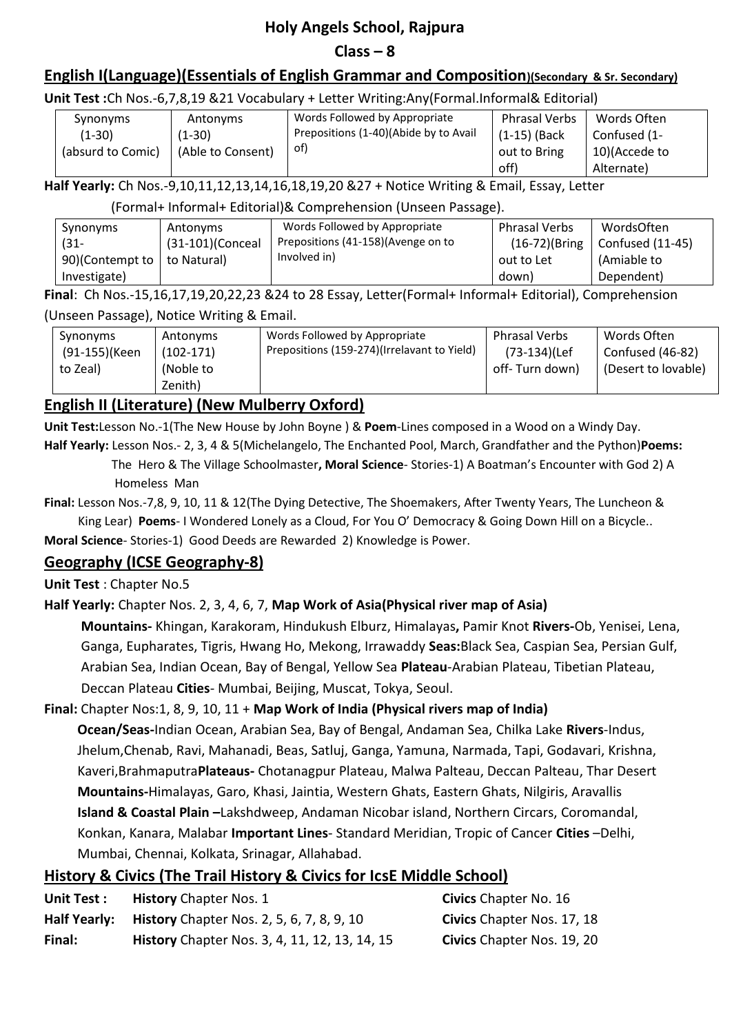# **Holy Angels School, Rajpura**

### $Class - 8$

## **English I(Language)(Essentials of English Grammar and Composition)(Secondary & Sr. Secondary)**

#### **Unit Test :**Ch Nos.-6,7,8,19 &21 Vocabulary + Letter Writing:Any(Formal.Informal& Editorial)

| Synonyms          | Antonyms          | Words Followed by Appropriate         | <b>Phrasal Verbs</b> | Words Often   |
|-------------------|-------------------|---------------------------------------|----------------------|---------------|
| (1-30)            | $(1-30)$          | Prepositions (1-40)(Abide by to Avail | $(1-15)$ (Back       | Confused (1-  |
| (absurd to Comic) | (Able to Consent) | of)                                   | out to Bring         | 10)(Accede to |
|                   |                   |                                       | off)                 | Alternate)    |

**Half Yearly:** Ch Nos.-9,10,11,12,13,14,16,18,19,20 &27 + Notice Writing & Email, Essay, Letter

(Formal+ Informal+ Editorial)& Comprehension (Unseen Passage).

| Synonyms                      | Antonyms         | Words Followed by Appropriate       | <b>Phrasal Verbs</b> | WordsOften                |
|-------------------------------|------------------|-------------------------------------|----------------------|---------------------------|
| (31-                          | (31-101)(Conceal | Prepositions (41-158) (Avenge on to | $(16-72)$ (Bring     | $\mid$ Confused $(11-45)$ |
| 90)(Contempt to   to Natural) |                  | Involved in)                        | out to Let           | (Amiable to               |
| Investigate)                  |                  |                                     | down)                | Dependent)                |

**Final**: Ch Nos.-15,16,17,19,20,22,23 &24 to 28 Essay, Letter(Formal+ Informal+ Editorial), Comprehension

#### (Unseen Passage), Notice Writing & Email.

| Synonyms<br>(91-155)(Keen<br>to Zeal) | Antonyms<br>$(102-171)$<br>(Noble to<br>Zenith) | Words Followed by Appropriate<br>Prepositions (159-274)(Irrelavant to Yield) | <b>Phrasal Verbs</b><br>(73-134)(Lef<br>off- Turn down) | Words Often<br>Confused (46-82)<br>(Desert to lovable) |
|---------------------------------------|-------------------------------------------------|------------------------------------------------------------------------------|---------------------------------------------------------|--------------------------------------------------------|
|---------------------------------------|-------------------------------------------------|------------------------------------------------------------------------------|---------------------------------------------------------|--------------------------------------------------------|

### **English II (Literature) (New Mulberry Oxford)**

**Unit Test:**Lesson No.-1(The New House by John Boyne ) & **Poem**-Lines composed in a Wood on a Windy Day.

**Half Yearly:** Lesson Nos.- 2, 3, 4 & 5(Michelangelo, The Enchanted Pool, March, Grandfather and the Python)**Poems:** The Hero & The Village Schoolmaster**, Moral Science**- Stories-1) A Boatman's Encounter with God 2) A

Homeless Man

**Final:** Lesson Nos.-7,8, 9, 10, 11 & 12(The Dying Detective, The Shoemakers, After Twenty Years, The Luncheon & King Lear) **Poems**- I Wondered Lonely as a Cloud, For You O' Democracy & Going Down Hill on a Bicycle..

**Moral Science**- Stories-1) Good Deeds are Rewarded 2) Knowledge is Power.

### **Geography (ICSE Geography-8)**

**Unit Test** : Chapter No.5

### **Half Yearly:** Chapter Nos. 2, 3, 4, 6, 7, **Map Work of Asia(Physical river map of Asia)**

**Mountains-** Khingan, Karakoram, Hindukush Elburz, Himalayas**,** Pamir Knot **Rivers-**Ob, Yenisei, Lena, Ganga, Eupharates, Tigris, Hwang Ho, Mekong, Irrawaddy **Seas:**Black Sea, Caspian Sea, Persian Gulf, Arabian Sea, Indian Ocean, Bay of Bengal, Yellow Sea **Plateau**-Arabian Plateau, Tibetian Plateau, Deccan Plateau **Cities**- Mumbai, Beijing, Muscat, Tokya, Seoul.

### **Final:** Chapter Nos:1, 8, 9, 10, 11 + **Map Work of India (Physical rivers map of India)**

**Ocean/Seas-**Indian Ocean, Arabian Sea, Bay of Bengal, Andaman Sea, Chilka Lake **Rivers**-Indus, Jhelum,Chenab, Ravi, Mahanadi, Beas, Satluj, Ganga, Yamuna, Narmada, Tapi, Godavari, Krishna, Kaveri,Brahmaputra**Plateaus-** Chotanagpur Plateau, Malwa Palteau, Deccan Palteau, Thar Desert **Mountains-**Himalayas, Garo, Khasi, Jaintia, Western Ghats, Eastern Ghats, Nilgiris, Aravallis **Island & Coastal Plain –**Lakshdweep, Andaman Nicobar island, Northern Circars, Coromandal, Konkan, Kanara, Malabar **Important Lines**- Standard Meridian, Tropic of Cancer **Cities** –Delhi, Mumbai, Chennai, Kolkata, Srinagar, Allahabad.

### **History & Civics (The Trail History & Civics for IcsE Middle School)**

| Unit Test:          | <b>History Chapter Nos. 1</b>                        | <b>Civics</b> Chapter No. 16 |
|---------------------|------------------------------------------------------|------------------------------|
| <b>Half Yearly:</b> | <b>History</b> Chapter Nos. 2, 5, 6, 7, 8, 9, 10     | Civics Chapter Nos. 17, 18   |
| Final:              | <b>History</b> Chapter Nos. 3, 4, 11, 12, 13, 14, 15 | Civics Chapter Nos. 19, 20   |